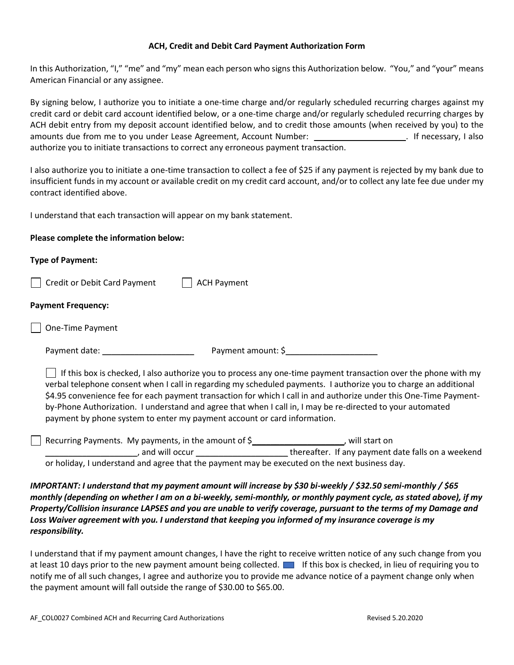## **ACH, Credit and Debit Card Payment Authorization Form**

In this Authorization, "I," "me" and "my" mean each person who signs this Authorization below. "You," and "your" means American Financial or any assignee.

By signing below, I authorize you to initiate a one-time charge and/or regularly scheduled recurring charges against my credit card or debit card account identified below, or a one-time charge and/or regularly scheduled recurring charges by ACH debit entry from my deposit account identified below, and to credit those amounts (when received by you) to the amounts due from me to you under Lease Agreement, Account Number: \_\_\_\_\_\_\_\_\_\_\_\_\_\_\_\_\_\_\_\_. If necessary, I also authorize you to initiate transactions to correct any erroneous payment transaction.

I also authorize you to initiate a one-time transaction to collect a fee of \$25 if any payment is rejected by my bank due to insufficient funds in my account or available credit on my credit card account, and/or to collect any late fee due under my contract identified above.

I understand that each transaction will appear on my bank statement.

## **Please complete the information below:**

| <b>Type of Payment:</b>                                                                                                                                                                                                                                                                                                                                                                                                                                                                                                                                    |
|------------------------------------------------------------------------------------------------------------------------------------------------------------------------------------------------------------------------------------------------------------------------------------------------------------------------------------------------------------------------------------------------------------------------------------------------------------------------------------------------------------------------------------------------------------|
| Credit or Debit Card Payment<br><b>ACH Payment</b>                                                                                                                                                                                                                                                                                                                                                                                                                                                                                                         |
| <b>Payment Frequency:</b>                                                                                                                                                                                                                                                                                                                                                                                                                                                                                                                                  |
| One-Time Payment                                                                                                                                                                                                                                                                                                                                                                                                                                                                                                                                           |
| Payment amount: \$                                                                                                                                                                                                                                                                                                                                                                                                                                                                                                                                         |
| $\Box$ If this box is checked, I also authorize you to process any one-time payment transaction over the phone with my<br>verbal telephone consent when I call in regarding my scheduled payments. I authorize you to charge an additional<br>\$4.95 convenience fee for each payment transaction for which I call in and authorize under this One-Time Payment-<br>by-Phone Authorization. I understand and agree that when I call in, I may be re-directed to your automated<br>payment by phone system to enter my payment account or card information. |
| Recurring Payments. My payments, in the amount of \$_____________________, will start on<br>and will occur _________________thereafter. If any payment date falls on a weekend                                                                                                                                                                                                                                                                                                                                                                             |
| or holiday, I understand and agree that the payment may be executed on the next business day.                                                                                                                                                                                                                                                                                                                                                                                                                                                              |
| IMPORTANT: I understand that my payment amount will increase by \$30 bi-weekly / \$32.50 semi-monthly / \$65<br>monthly (depending on whether I am on a bi-weekly, semi-monthly, or monthly payment cycle, as stated above), if my<br>Property/Collision insurance LAPSES and you are unable to verify coverage, pursuant to the terms of my Damage and<br>Loss Waiver agreement with you. I understand that keeping you informed of my insurance coverage is my<br>responsibility.                                                                        |

I understand that if my payment amount changes, I have the right to receive written notice of any such change from you at least 10 days prior to the new payment amount being collected. **In all of this box is checked, in lieu of requiring you to** notify me of all such changes, I agree and authorize you to provide me advance notice of a payment change only when the payment amount will fall outside the range of \$30.00 to \$65.00.